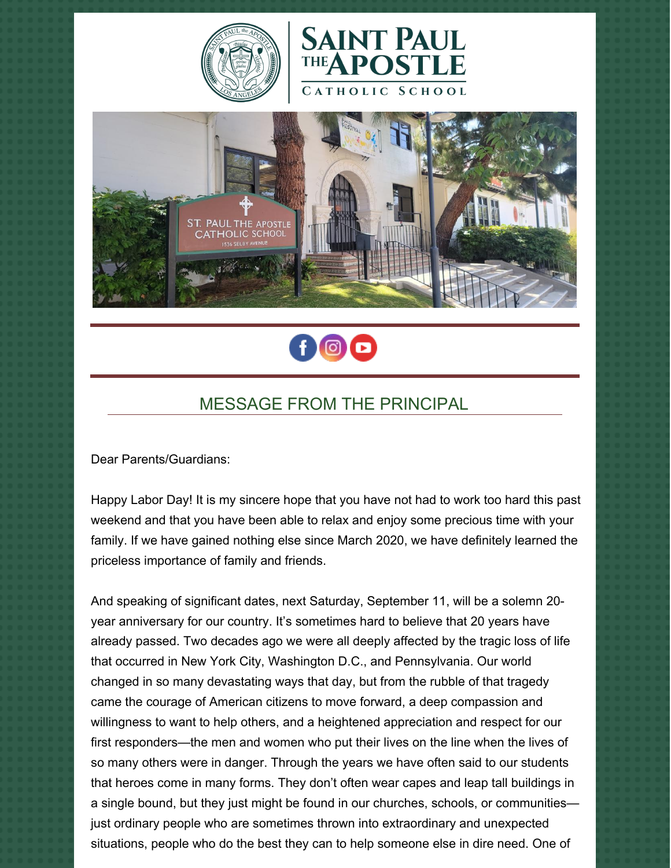







# MESSAGE FROM THE PRINCIPAL

Dear Parents/Guardians:

Happy Labor Day! It is my sincere hope that you have not had to work too hard this past weekend and that you have been able to relax and enjoy some precious time with your family. If we have gained nothing else since March 2020, we have definitely learned the priceless importance of family and friends.

And speaking of significant dates, next Saturday, September 11, will be a solemn 20 year anniversary for our country. It's sometimes hard to believe that 20 years have already passed. Two decades ago we were all deeply affected by the tragic loss of life that occurred in New York City, Washington D.C., and Pennsylvania. Our world changed in so many devastating ways that day, but from the rubble of that tragedy came the courage of American citizens to move forward, a deep compassion and willingness to want to help others, and a heightened appreciation and respect for our first responders—the men and women who put their lives on the line when the lives of so many others were in danger. Through the years we have often said to our students that heroes come in many forms. They don't often wear capes and leap tall buildings in a single bound, but they just might be found in our churches, schools, or communities just ordinary people who are sometimes thrown into extraordinary and unexpected situations, people who do the best they can to help someone else in dire need. One of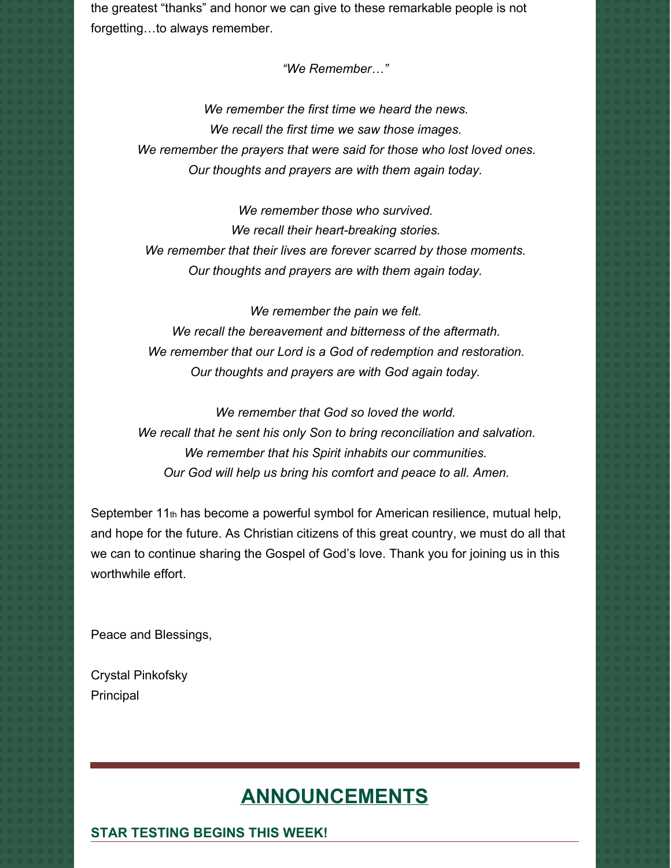the greatest "thanks" and honor we can give to these remarkable people is not forgetting…to always remember.

*"We Remember…"*

*We remember the first time we heard the news. We recall the first time we saw those images. We remember the prayers that were said for those who lost loved ones. Our thoughts and prayers are with them again today.*

*We remember those who survived. We recall their heart-breaking stories. We remember that their lives are forever scarred by those moments. Our thoughts and prayers are with them again today.*

*We remember the pain we felt. We recall the bereavement and bitterness of the aftermath. We remember that our Lord is a God of redemption and restoration. Our thoughts and prayers are with God again today.*

*We remember that God so loved the world. We recall that he sent his only Son to bring reconciliation and salvation. We remember that his Spirit inhabits our communities. Our God will help us bring his comfort and peace to all. Amen.*

September 11th has become a powerful symbol for American resilience, mutual help, and hope for the future. As Christian citizens of this great country, we must do all that we can to continue sharing the Gospel of God's love. Thank you for joining us in this worthwhile effort.

Peace and Blessings,

Crystal Pinkofsky Principal

## **ANNOUNCEMENTS**

#### **STAR TESTING BEGINS THIS WEEK!**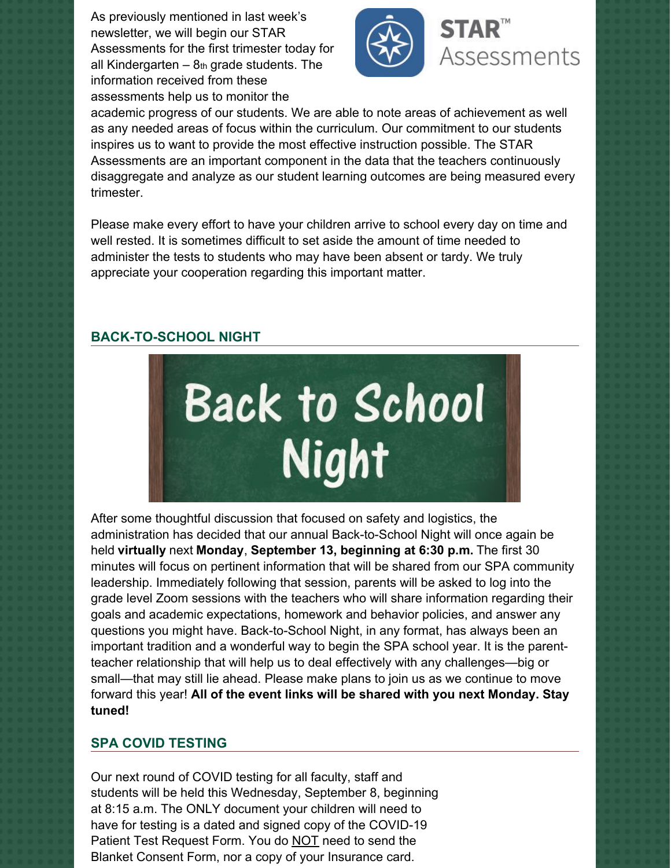As previously mentioned in last week's newsletter, we will begin our STAR Assessments for the first trimester today for all Kindergarten  $-8<sub>th</sub>$  grade students. The information received from these assessments help us to monitor the



academic progress of our students. We are able to note areas of achievement as well as any needed areas of focus within the curriculum. Our commitment to our students inspires us to want to provide the most effective instruction possible. The STAR Assessments are an important component in the data that the teachers continuously disaggregate and analyze as our student learning outcomes are being measured every trimester.

Please make every effort to have your children arrive to school every day on time and well rested. It is sometimes difficult to set aside the amount of time needed to administer the tests to students who may have been absent or tardy. We truly appreciate your cooperation regarding this important matter.

#### **BACK-TO-SCHOOL NIGHT**



After some thoughtful discussion that focused on safety and logistics, the administration has decided that our annual Back-to-School Night will once again be held **virtually** next **Monday**, **September 13, beginning at 6:30 p.m.** The first 30 minutes will focus on pertinent information that will be shared from our SPA community leadership. Immediately following that session, parents will be asked to log into the grade level Zoom sessions with the teachers who will share information regarding their goals and academic expectations, homework and behavior policies, and answer any questions you might have. Back-to-School Night, in any format, has always been an important tradition and a wonderful way to begin the SPA school year. It is the parentteacher relationship that will help us to deal effectively with any challenges—big or small—that may still lie ahead. Please make plans to join us as we continue to move forward this year! **All of the event links will be shared with you next Monday. Stay tuned!**

#### **SPA COVID TESTING**

Our next round of COVID testing for all faculty, staff and students will be held this Wednesday, September 8, beginning at 8:15 a.m. The ONLY document your children will need to have for testing is a dated and signed copy of the COVID-19 Patient Test Request Form. You do NOT need to send the Blanket Consent Form, nor a copy of your Insurance card.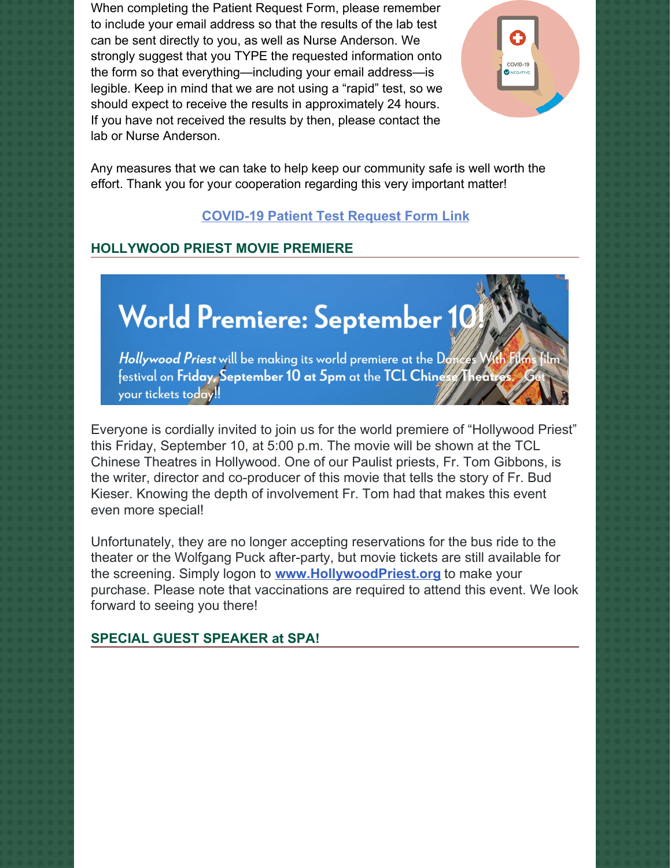When completing the Patient Request Form, please remember to include your email address so that the results of the lab test can be sent directly to you, as well as Nurse Anderson. We strongly suggest that you TYPE the requested information onto the form so that everything—including your email address—is legible. Keep in mind that we are not using a "rapid" test, so we should expect to receive the results in approximately 24 hours. If you have not received the results by then, please contact the lab or Nurse Anderson.



Any measures that we can take to help keep our community safe is well worth the effort. Thank you for your cooperation regarding this very important matter!

## **[COVID-19](https://school.sp-apostle.org/wp-content/uploads/2021/08/PATIENT-REQ-FORM-7-15-21.pdf) Patient Test Request Form Link**

#### **HOLLYWOOD PRIEST MOVIE PREMIERE**

# World Premiere: September 10

Hollywood Priest will be making its world premiere at the Do festival on Friday September 10 at 5pm at the TCL Ching your tickets today!

Everyone is cordially invited to join us for the world premiere of "Hollywood Priest" this Friday, September 10, at 5:00 p.m. The movie will be shown at the TCL Chinese Theatres in Hollywood. One of our Paulist priests, Fr. Tom Gibbons, is the writer, director and co-producer of this movie that tells the story of Fr. Bud Kieser. Knowing the depth of involvement Fr. Tom had that makes this event even more special!

Unfortunately, they are no longer accepting reservations for the bus ride to the theater or the Wolfgang Puck after-party, but movie tickets are still available for the screening. Simply logon to **[www.HollywoodPriest.org](http://www.hollywoodpriest.org)** to make your purchase. Please note that vaccinations are required to attend this event. We look forward to seeing you there!

#### **SPECIAL GUEST SPEAKER at SPA!**